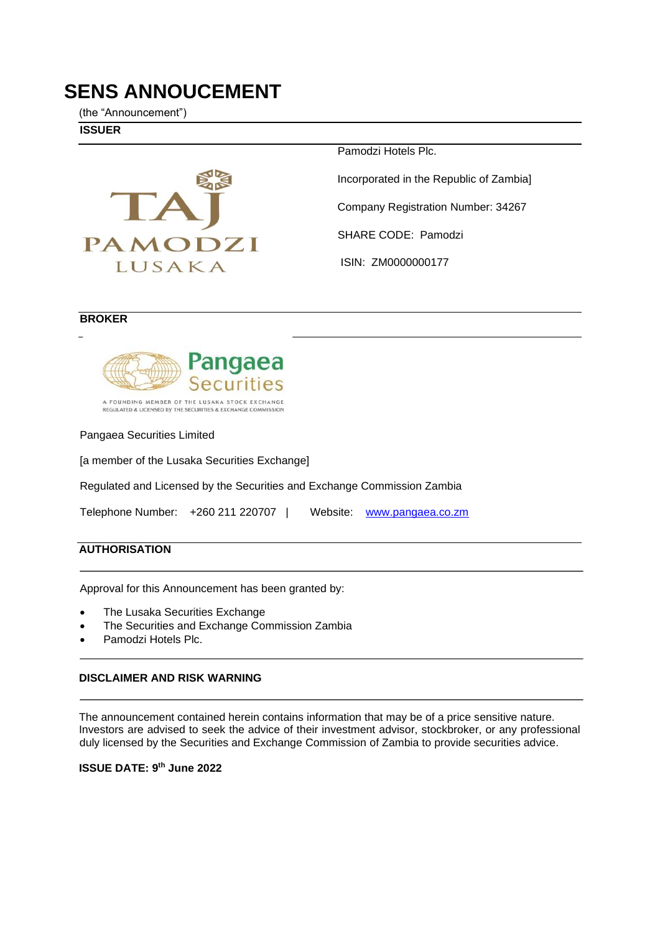# **SENS ANNOUCEMENT**

(the "Announcement")

**ISSUER** 



Pamodzi Hotels Plc.

Incorporated in the Republic of Zambia]

Company Registration Number: 34267

SHARE CODE: Pamodzi

ISIN: ZM0000000177

#### **BROKER**



A FOUNDING MEMBER OF THE LUSAKA STOCK EXCHANGE REGULATED & LICENSED BY THE SECURITIES & EXCHANGE COMMISS

Pangaea Securities Limited

[a member of the Lusaka Securities Exchange]

Regulated and Licensed by the Securities and Exchange Commission Zambia

Telephone Number: +260 211 220707 | Website: [www.pangaea.co.zm](http://www.pangaea.co.zm/) 

#### **AUTHORISATION**

Approval for this Announcement has been granted by:

- The Lusaka Securities Exchange
- The Securities and Exchange Commission Zambia
- Pamodzi Hotels Plc.

#### **DISCLAIMER AND RISK WARNING**

The announcement contained herein contains information that may be of a price sensitive nature. Investors are advised to seek the advice of their investment advisor, stockbroker, or any professional duly licensed by the Securities and Exchange Commission of Zambia to provide securities advice.

**ISSUE DATE: 9 th June 2022**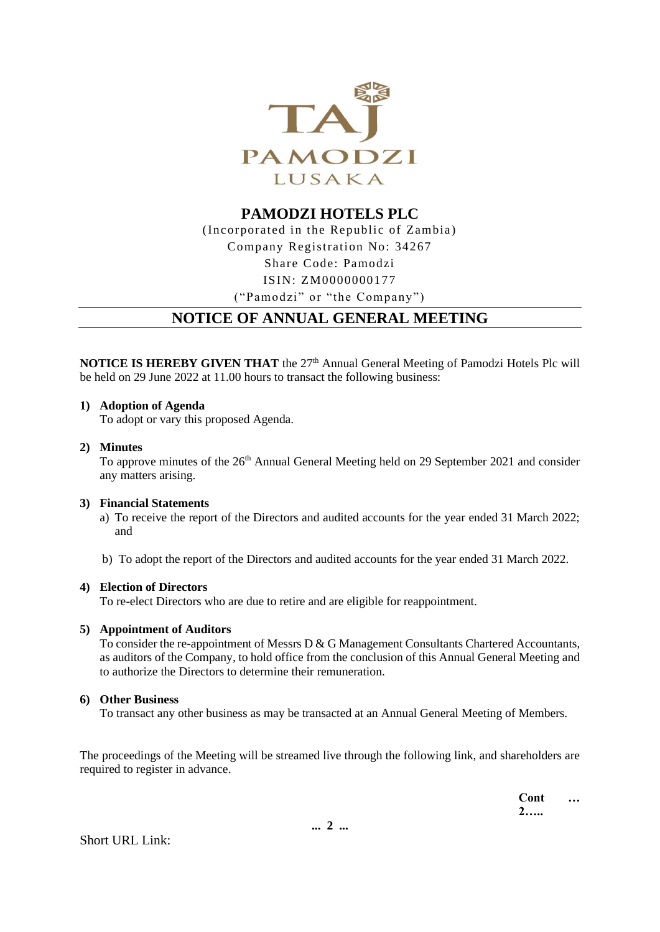

**PAMODZI HOTELS PLC** (Incorporated in the Republic of Zambia) Company Registration No: 34267 Share Code: Pamodzi ISIN: ZM0000000177 ("Pamodzi" or "the Company")

## **NOTICE OF ANNUAL GENERAL MEETING**

**NOTICE IS HEREBY GIVEN THAT** the 27<sup>th</sup> Annual General Meeting of Pamodzi Hotels Plc will be held on 29 June 2022 at 11.00 hours to transact the following business:

#### **1) Adoption of Agenda**

To adopt or vary this proposed Agenda.

#### **2) Minutes**

To approve minutes of the 26<sup>th</sup> Annual General Meeting held on 29 September 2021 and consider any matters arising.

#### **3) Financial Statements**

a) To receive the report of the Directors and audited accounts for the year ended 31 March 2022; and

b) To adopt the report of the Directors and audited accounts for the year ended 31 March 2022.

#### **4) Election of Directors**

To re-elect Directors who are due to retire and are eligible for reappointment.

#### **5) Appointment of Auditors**

To consider the re-appointment of Messrs D & G Management Consultants Chartered Accountants, as auditors of the Company, to hold office from the conclusion of this Annual General Meeting and to authorize the Directors to determine their remuneration.

#### **6) Other Business**

To transact any other business as may be transacted at an Annual General Meeting of Members.

The proceedings of the Meeting will be streamed live through the following link, and shareholders are required to register in advance.

> **Cont … 2…..**

Short URL Link: